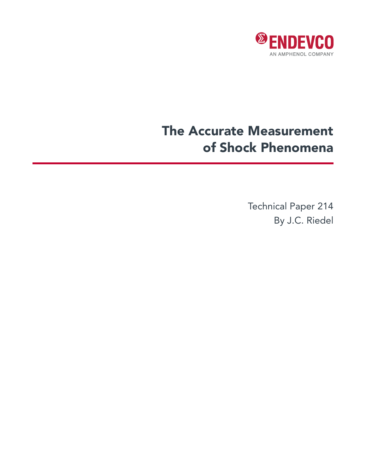

# The Accurate Measurement of Shock Phenomena

Technical Paper 214 By J.C. Riedel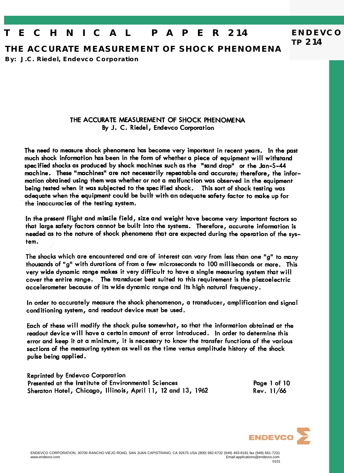## **T E C H N I C A L P A P E R 214**

**THE ACCURATE MEASUREMENT OF SHOCK PHENOMENA**

**By: J.C. Riedel, Endevco Corporation**

#### THE ACCURATE MEASUREMENT OF SHOCK PHENOMENA By J. C. Riedel, Endevco Corporation

The need to measure shock phenomena has become very important in recent years. In the past much shock information has been in the form of whether a piece of equipment will withstand specified shocks as produced by shock machines such as the "sand drop" or the Jan-S-44 machine. These "machines" are not necessarily repeatable and accurate; therefore, the information obtained using them was whether or not a malfunction was observed in the equipment being tested when it was subjected to the specified shock. This sort of shock testing was adequate when the equipment could be built with an adequate safety factor to make up for the inaccuracies of the testing system.

In the present flight and missile field, size and weight have become very important factors so that large safety factors cannot be built into the systems. Therefore, accurate information is needed as to the nature of shock phenomena that are expected during the operation of the system.

The shocks which are encountered and are of interest can vary from less than one "g" to many thousands of "g" with durations of from a few microseconds to 100 milliseconds or more. This very wide dynamic range makes it very difficult to have a single measuring system that will cover the entire range. The transducer best suited to this requirement is the piezoelectric accelerometer because of its wide dynamic range and its high natural frequency.

In order to accurately measure the shock phenomenon, a transducer, amplification and signal conditioning system, and readout device must be used.

Each of these will modify the shock pulse somewhat, so that the information obtained at the readout device will have a certain amount of error introduced. In order to determine this error and keep it at a minimum, it is necessary to know the transfer functions of the various sections of the measuring system as well as the time versus amplitude history of the shock pulse being applied.

**Reprinted by Endevco Corporation** Presented at the Institute of Environmental Sciences Sheraton Hotel, Chicago, Illinois, April 11, 12 and 13, 1962

Page 1 of 10 Rev. 11/66

**ENDEVCO**

**TP 214**

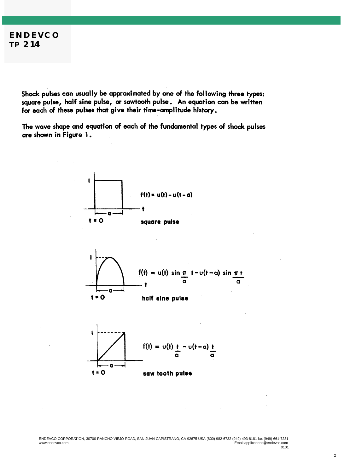Shock pulses can usually be approximated by one of the following three types: square pulse, half sine pulse, or sawtooth pulse. An equation can be written for each of these pulses that give their time-amplitude history.

The wave shape and equation of each of the fundamental types of shock pulses are shown in Figure 1.







ENDEVCO CORPORATION, 30700 RANCHO VIEJO ROAD, SAN JUAN CAPISTRANO, CA 92675 USA (800) 982-6732 (949) 493-8181 fax (949) 661-7231 www.endevco.com Email:applications@endevco.com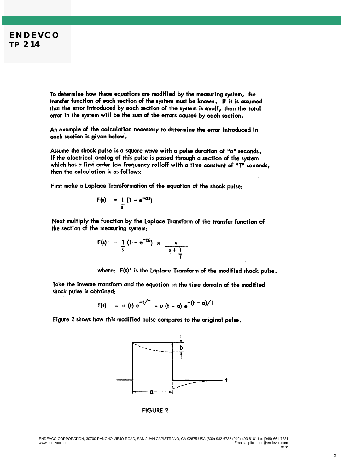To determine how these equations are modified by the measuring system, the transfer function of each section of the system must be known. If it is assumed that the error introduced by each section of the system is small, then the total error in the system will be the sum of the errors caused by each section.

An example of the calculation necessary to determine the error introduced in each section is given below.

Assume the shock pulse is a square wave with a pulse duration of "a" seconds. If the electrical analog of this pulse is passed through a section of the system which has a first order low frequency rolloff with a time constant of "T" seconds, then the calculation is as follows:

First make a Laplace Transformation of the equation of the shock pulse:

$$
F(s) = \frac{1}{s} (1 - e^{-as})
$$

Next multiply the function by the Laplace Transform of the transfer function of the section of the measuring system:

$$
F(s)' = \frac{1}{s} (1 - e^{-as}) \times \frac{s}{s+1}
$$

where: F(s)' is the Laplace Transform of the modified shock pulse.

Take the inverse transform and the equation in the time domain of the modified shock pulse is obtained:

$$
f(t)' = u(t) e^{-t/T} - u (t - \alpha) e^{-(t - \alpha)/T}
$$

Figure 2 shows how this modified pulse compares to the original pulse.



**FIGURE 2** 

ENDEVCO CORPORATION, 30700 RANCHO VIEJO ROAD, SAN JUAN CAPISTRANO, CA 92675 USA (800) 982-6732 (949) 493-8181 fax (949) 661-7231 Email:applications@endevco.com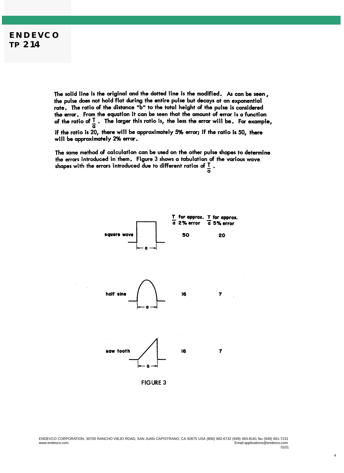The solid line is the original and the dotted line is the modified. As can be seen, the pulse does not hold flat during the entire pulse but decays at an exponential rate. The ratio of the distance "b" to the total height of the pulse is considered the error. From the equation it can be seen that the amount of error is a function of the ratio of  $\frac{1}{a}$ . The larger this ratio is, the less the error will be. For example, if the ratio is 20, there will be approximately 5% error; if the ratio is 50, there will be approximately 2% error.

The same method of calculation can be used on the other pulse shapes to determine the errors introduced in them. Figure 3 shows a tabulation of the various wave. the errors introduced in mem. Figure 3 shows a rapulation or<br>shapes with the errors introduced due to different ratios of  $\frac{1}{\alpha}$ .



4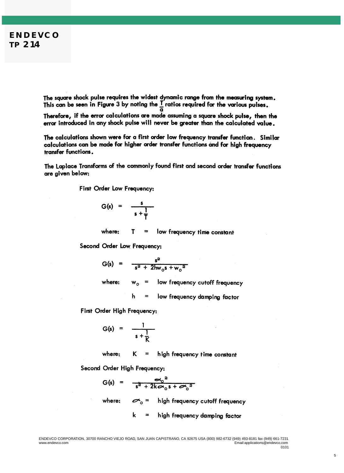The square shock pulse requires the widest dynamic range from the measuring system. This can be seen in Figure 3 by noting the  $\frac{1}{a}$  ratios required for the various pulses.

Therefore, if the error calculations are made assuming a square shock pulse, then the error introduced in any shock pulse will never be greater than the calculated value.

The calculations shown were for a first order low frequency transfer function. Similar calculations can be made for higher order transfer functions and for high frequency transfer functions.

The Laplace Transforms of the commonly found first and second order transfer functions are given below:

First Order Low Frequency:

$$
G(s) = \frac{s}{s + \frac{1}{T}}
$$

where: T low frequency time constant  $\equiv$ 

Second Order Low Frequency:

$$
G(s) = \frac{s^2}{s^2 + 2hw_0s + w_0^2}
$$

where:  $w_{o}$ low frequency cutoff frequency

> h = low frequency damping factor

First Order High Frequency:

$$
G(s) = \frac{1}{s + \frac{1}{K}}
$$

where: K  $=$  high frequency time constant

Second Order High Frequency:

$$
G(s) = \frac{G_0^2}{s^2 + 2k\omega_0 s + \omega_0^2}
$$

where:  $\sigma$ <sub>o</sub> = high frequency cutoff frequency

> k high frequency damping factor  $=$

5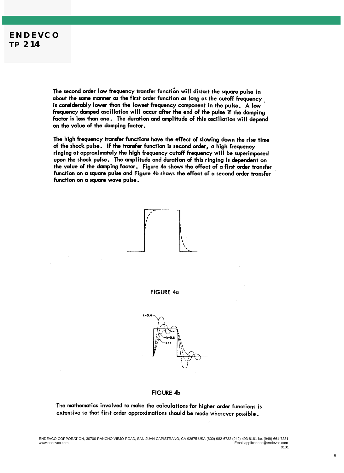The second order low frequency transfer function will distort the square pulse in about the same manner as the first order function as long as the cutoff frequency is considerably lower than the lowest frequency component in the pulse. A low frequency damped oscillation will occur after the end of the pulse if the damping factor is less than one. The duration and amplitude of this oscillation will depend on the value of the damping factor.

The high frequency transfer functions have the effect of slowing down the rise time of the shock pulse. If the transfer function is second order, a high frequency ringing at approximately the high frequency cutoff frequency will be superimposed upon the shock pulse. The amplitude and duration of this ringing is dependent on the value of the damping factor. Figure 4a shows the effect of a first order transfer function on a square pulse and Figure 4b shows the effect of a second order transfer function on a square wave pulse.



#### **FIGURE 4b**

The mathematics involved to make the calculations for higher order functions is extensive so that first order approximations should be made wherever possible.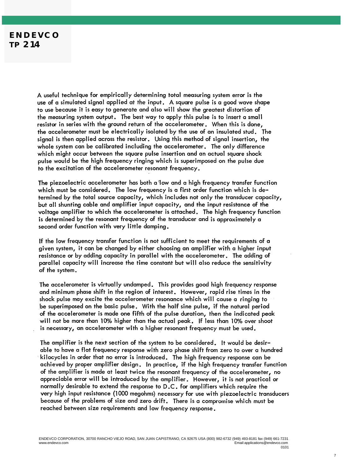A useful technique for empirically determining total measuring system error is the use of a simulated signal applied at the input. A square pulse is a good wave shape to use because it is easy to generate and also will show the greatest distortion of the measuring system output. The best way to apply this pulse is to insert a small resistor in series with the ground return of the accelerometer. When this is done, the accelerometer must be electrically isolated by the use of an insulated stud. The signal is then applied across the resistor. Using this method of signal insertion, the whole system can be calibrated including the accelerometer, The only difference which might occur between the square pulse insertion and an actual square shock pulse would be the high frequency ringing which is superimposed on the pulse due to the excitation of the accelerometer resonant frequency.

The piezoelectric accelerometer has both a low and a high frequency transfer function which must be considered. The low frequency is a first order function which is determined by the total source capacity, which includes not only the transducer capacity, but all shunting cable and amplifier input capacity, and the input resistance of the voltage amplifier to which the accelerometer is attached. The high frequency function is determined by the resonant frequency of the transducer and is approximately a second order function with very little damping.

If the low frequency transfer function is not sufficient to meet the requirements of a given system, it can be changed by either choosing an amplifier with a higher input resistance or by adding capacity in parallel with the accelerometer. The adding of parallel capacity will increase the time constant but will also reduce the sensitivity of the system.

The accelerometer is virtually undamped. This provides good high frequency response and minimum phase shift in the region of interest. However, rapid rise times in the shock pulse may excite the accelerometer resonance which will cause a ringing to be superimposed on the basic pulse. With the half sine pulse, if the natural period of the accelerometer is made one fifth of the pulse duration, then the indicated peak will not be more than 10% higher than the actual peak. If less than 10% over shoot is necessary, an accelerometer with a higher resonant frequency must be used.

The amplifier is the next section of the system to be considered. It would be desirable to have a flat frequency response with zero phase shift from zero to over a hundred kilocycles in order that no error is introduced. The high frequency response can be achieved by proper amplifier design. In practice, if the high frequency transfer function of the amplifier is made at least twice the resonant frequency of the accelerometer, no appreciable error will be introduced by the amplifier. However, it is not practical or normally desirable to extend the response to D.C. for amplifiers which require the very high input resistance (1000 megohms) necessary for use with piezoelectric transducers because of the problems of size and zero drift. There is a compromise which must be reached between size requirements and low frequency response.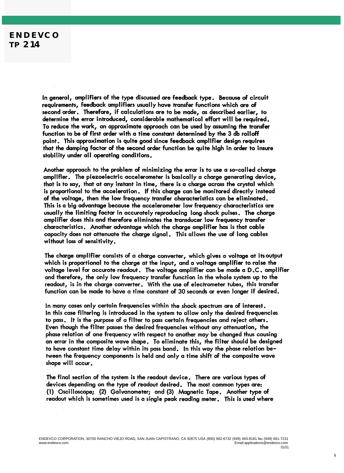In general, amplifiers of the type discussed are feedback type. Because of circuit requirements, feedback amplifiers usually have transfer functions which are of second order. Therefore, if calculations are to be made, as described earlier, to determine the error introduced, considerable mathematical effort will be required. To reduce the work, an approximate approach can be used by assuming the transfer function to be of first order with a time constant determined by the 3 db rolloff point. This approximation is quite good since feedback amplifier design requires that the damping factor of the second order function be quite high in order to insure stability under all operating conditions.

Another approach to the problem of minimizing the error is to use a so-called charge amplifier. The piezoelectric accelerometer is basically a charge generating device, that is to say, that at any instant in time, there is a charge across the crystal which is proportional to the acceleration. If this charge can be monitored directly instead of the voltage, then the low frequency transfer characteristics can be eliminated. This is a big advantage because the accelerometer low frequency characteristics are usually the limiting factor in accurately reproducing long shock pulses. The charge amplifier does this and therefore eliminates the transducer low frequency transfer characteristics. Another advantage which the charge amplifier has is that cable capacity does not attenuate the charge signal. This allows the use of long cables without loss of sensitivity.

The charge amplifier consists of a charge converter, which gives a voltage at its output which is proportional to the charge at the input, and a voltage amplifier to raise the voltage level for accurate readout. The voltage amplifier can be made a D.C. amplifier and therefore, the only low frequency transfer function in the whole system up to the readout, is in the charge converter. With the use of electrometer tubes, this transfer function can be made to have a time constant of 30 seconds or even longer if desired.

In many cases only certain frequencies within the shock spectrum are of interest. In this case filtering is introduced in the system to allow only the desired frequencies to pass. It is the purpose of a filter to pass certain frequencies and reject others. Even though the filter passes the desired frequencies without any attenuation, the phase relation of one frequency with respect to another may be changed thus causing an error in the composite wave shape. To eliminate this, the filter should be designed to have constant time delay within its pass band. In this way the phase relation between the frequency components is held and only a time shift of the composite wave shape will occur.

The final section of the system is the readout device. There are various types of devices depending on the type of readout desired. The most common types are: (1) Oscilloscope; (2) Galvanometer; and (3) Magnetic Tape. Another type of readout which is sometimes used is a single peak reading meter. This is used where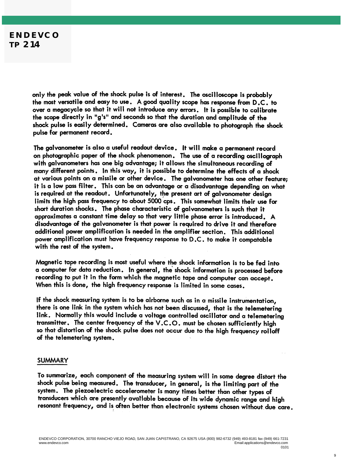only the peak value of the shock pulse is of interest. The oscilloscope is probably the most versatile and easy to use. A good quality scope has response from D.C. to over a megacycle so that it will not introduce any errors. It is possible to calibrate the scope directly in "g's" and seconds so that the duration and amplitude of the shock pulse is easily determined. Cameras are also available to photograph the shock pulse for permanent record.

The galvanometer is also a useful readout device. It will make a permanent record on photographic paper of the shock phenomenon. The use of a recording oscillograph with galvanometers has one big advantage; it allows the simultaneous recording of many different points. In this way, it is possible to determine the effects of a shock at various points on a missile or other device. The galvanometer has one other feature; it is a low pass filter. This can be an advantage or a disadvantage depending on what is required at the readout. Unfortunately, the present art of galvanometer desian limits the high pass frequency to about 5000 cps. This somewhat limits their use for short duration shocks. The phase characteristic of galvanometers is such that it approximates a constant time delay so that very little phase error is introduced. A disadvantage of the galvanometer is that power is required to drive it and therefore additional power amplification is needed in the amplifier section. This additional power amplification must have frequency response to D.C. to make it compatable with the rest of the system.

Magnetic tape recording is most useful where the shock information is to be fed into a computer for data reduction. In general, the shock information is processed before recording to put it in the form which the magnetic tape and computer can accept. When this is done, the high frequency response is limited in some cases.

If the shock measuring system is to be airborne such as in a missile instrumentation, there is one link in the system which has not been discussed, that is the telemetering link. Normally this would include a voltage controlled oscillator and a telemetering transmitter. The center frequency of the V.C.O. must be chosen sufficiently high so that distortion of the shock pulse does not occur due to the high frequency rolloff of the telemetering system.

#### **SUMMARY**

To summarize, each component of the measuring system will in some degree distort the shock pulse being measured. The transducer, in general, is the limiting part of the system. The piezoelectric accelerometer is many times better than other types of transducers which are presently available because of its wide dynamic range and high resonant frequency, and is often better than electronic systems chosen without due care.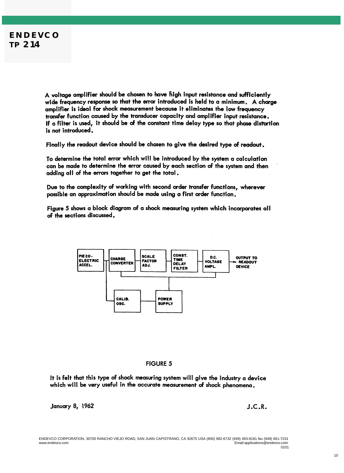A voltage amplifier should be chosen to have fiigh input resistance and sufficiently wide frequency response so that the error introduced is held to a minimum. A charge amplifier is ideal for shock measurement because it eliminates the low frequency transfer function caused by the transducer capacity and amplifier input resistance. If a filter is used, it should be of the constant time delay type so that phase distortion is not introduced.

Finally the readout device should be chosen to give the desired type of readout.

To determine the total error which will be introduced by the system a calculation can be made to determine the error caused by each section of the system and then adding all of the errors together to get the total.

Due to the complexity of working with second order transfer functions, wherever possible an approximation should be made using a first order function.

Figure 5 shows a block diagram of a shock measuring system which incorporates all of the sections discussed.



#### **FIGURE 5**

It is felt that this type of shock measuring system will give the industry a device which will be very useful in the accurate measurement of shock phenomena.

**January 8, 1962** 

 $J.C.R.$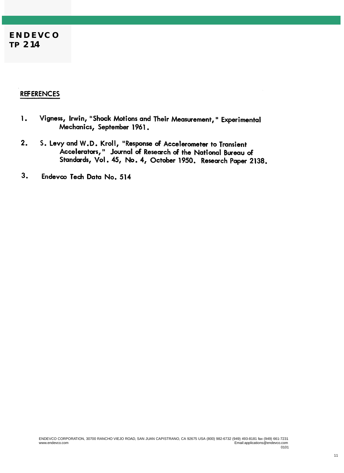#### **REFERENCES**

- Vigness, Irwin, "Shock Motions and Their Measurement, " Experimental 1. Mechanics, September 1961.
- S. Levy and W.D. Kroll, "Response of Accelerometer to Transient  $2.$ Accelerators," Journal of Research of the National Bureau of Standards, Vol. 45, No. 4, October 1950. Research Paper 2138.
- 3. Endevco Tech Data No. 514